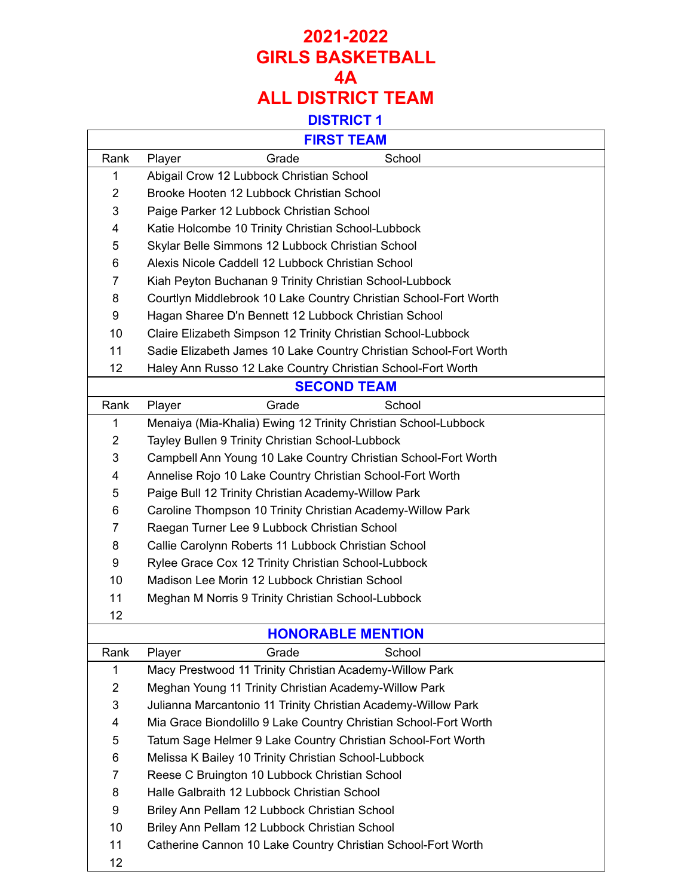## **2021-2022 GIRLS BASKETBALL 4A ALL DISTRICT TEAM DISTRICT 1**

| <b>FIRST TEAM</b> |                                                                   |  |  |
|-------------------|-------------------------------------------------------------------|--|--|
| Rank              | School<br>Grade<br>Player                                         |  |  |
| 1                 | Abigail Crow 12 Lubbock Christian School                          |  |  |
| $\overline{2}$    | Brooke Hooten 12 Lubbock Christian School                         |  |  |
| 3                 | Paige Parker 12 Lubbock Christian School                          |  |  |
| 4                 | Katie Holcombe 10 Trinity Christian School-Lubbock                |  |  |
| 5                 | Skylar Belle Simmons 12 Lubbock Christian School                  |  |  |
| 6                 | Alexis Nicole Caddell 12 Lubbock Christian School                 |  |  |
| $\overline{7}$    | Kiah Peyton Buchanan 9 Trinity Christian School-Lubbock           |  |  |
| 8                 | Courtlyn Middlebrook 10 Lake Country Christian School-Fort Worth  |  |  |
| 9                 | Hagan Sharee D'n Bennett 12 Lubbock Christian School              |  |  |
| 10                | Claire Elizabeth Simpson 12 Trinity Christian School-Lubbock      |  |  |
| 11                | Sadie Elizabeth James 10 Lake Country Christian School-Fort Worth |  |  |
| 12                | Haley Ann Russo 12 Lake Country Christian School-Fort Worth       |  |  |
|                   | <b>SECOND TEAM</b>                                                |  |  |
| Rank              | Grade<br>School<br>Player                                         |  |  |
| 1                 | Menaiya (Mia-Khalia) Ewing 12 Trinity Christian School-Lubbock    |  |  |
| 2                 | Tayley Bullen 9 Trinity Christian School-Lubbock                  |  |  |
| 3                 | Campbell Ann Young 10 Lake Country Christian School-Fort Worth    |  |  |
| 4                 | Annelise Rojo 10 Lake Country Christian School-Fort Worth         |  |  |
| 5                 | Paige Bull 12 Trinity Christian Academy-Willow Park               |  |  |
| 6                 | Caroline Thompson 10 Trinity Christian Academy-Willow Park        |  |  |
| $\overline{7}$    | Raegan Turner Lee 9 Lubbock Christian School                      |  |  |
| 8                 | Callie Carolynn Roberts 11 Lubbock Christian School               |  |  |
| 9                 | Rylee Grace Cox 12 Trinity Christian School-Lubbock               |  |  |
| 10                | Madison Lee Morin 12 Lubbock Christian School                     |  |  |
| 11                | Meghan M Norris 9 Trinity Christian School-Lubbock                |  |  |
| 12                |                                                                   |  |  |
|                   | <b>HONORABLE MENTION</b>                                          |  |  |
| Rank              | Grade<br>School<br>Player                                         |  |  |
| 1                 | Macy Prestwood 11 Trinity Christian Academy-Willow Park           |  |  |
| $\overline{c}$    | Meghan Young 11 Trinity Christian Academy-Willow Park             |  |  |
| 3                 | Julianna Marcantonio 11 Trinity Christian Academy-Willow Park     |  |  |
| 4                 | Mia Grace Biondolillo 9 Lake Country Christian School-Fort Worth  |  |  |
| 5                 | Tatum Sage Helmer 9 Lake Country Christian School-Fort Worth      |  |  |
| 6                 | Melissa K Bailey 10 Trinity Christian School-Lubbock              |  |  |
| 7                 | Reese C Bruington 10 Lubbock Christian School                     |  |  |
| 8                 | Halle Galbraith 12 Lubbock Christian School                       |  |  |
| 9                 | Briley Ann Pellam 12 Lubbock Christian School                     |  |  |
| 10                | Briley Ann Pellam 12 Lubbock Christian School                     |  |  |
| 11                | Catherine Cannon 10 Lake Country Christian School-Fort Worth      |  |  |
| 12                |                                                                   |  |  |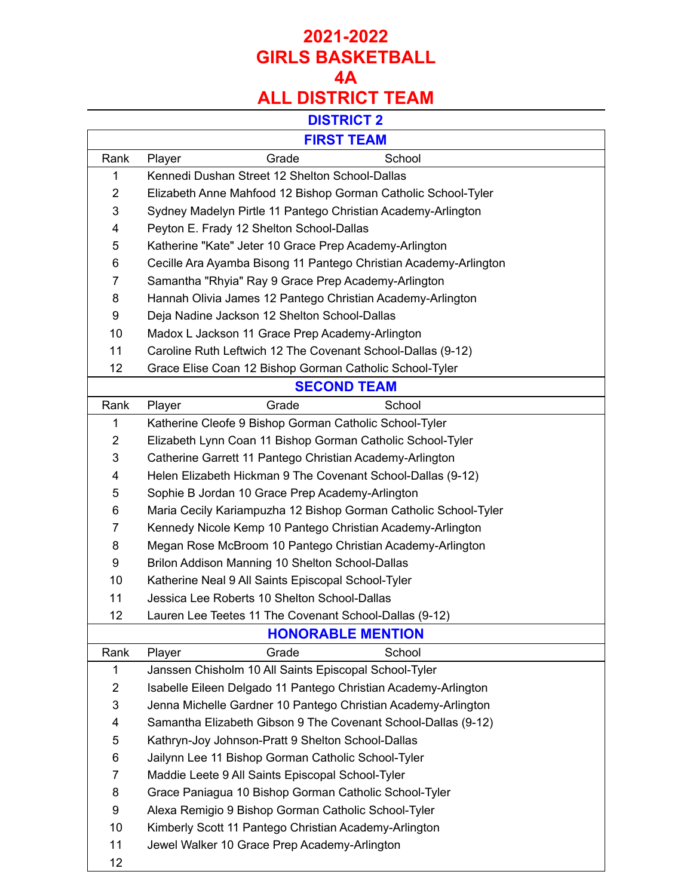## **2021-2022 GIRLS BASKETBALL 4A ALL DISTRICT TEAM**

#### **DISTRICT 2**

| <b>FIRST TEAM</b> |        |  |  |
|-------------------|--------|--|--|
| Grade             | School |  |  |
|                   |        |  |  |

| Rank           | Grade<br>School<br>Player                                        |  |  |
|----------------|------------------------------------------------------------------|--|--|
| 1              | Kennedi Dushan Street 12 Shelton School-Dallas                   |  |  |
| 2              | Elizabeth Anne Mahfood 12 Bishop Gorman Catholic School-Tyler    |  |  |
| 3              | Sydney Madelyn Pirtle 11 Pantego Christian Academy-Arlington     |  |  |
| 4              | Peyton E. Frady 12 Shelton School-Dallas                         |  |  |
| 5              | Katherine "Kate" Jeter 10 Grace Prep Academy-Arlington           |  |  |
| 6              | Cecille Ara Ayamba Bisong 11 Pantego Christian Academy-Arlington |  |  |
| 7              | Samantha "Rhyia" Ray 9 Grace Prep Academy-Arlington              |  |  |
| 8              | Hannah Olivia James 12 Pantego Christian Academy-Arlington       |  |  |
| 9              | Deja Nadine Jackson 12 Shelton School-Dallas                     |  |  |
| 10             | Madox L Jackson 11 Grace Prep Academy-Arlington                  |  |  |
| 11             | Caroline Ruth Leftwich 12 The Covenant School-Dallas (9-12)      |  |  |
| 12             | Grace Elise Coan 12 Bishop Gorman Catholic School-Tyler          |  |  |
|                | <b>SECOND TEAM</b>                                               |  |  |
| Rank           | Grade<br>School<br>Player                                        |  |  |
| 1              | Katherine Cleofe 9 Bishop Gorman Catholic School-Tyler           |  |  |
| 2              | Elizabeth Lynn Coan 11 Bishop Gorman Catholic School-Tyler       |  |  |
| 3              | Catherine Garrett 11 Pantego Christian Academy-Arlington         |  |  |
| 4              | Helen Elizabeth Hickman 9 The Covenant School-Dallas (9-12)      |  |  |
| 5              | Sophie B Jordan 10 Grace Prep Academy-Arlington                  |  |  |
| 6              | Maria Cecily Kariampuzha 12 Bishop Gorman Catholic School-Tyler  |  |  |
| 7              | Kennedy Nicole Kemp 10 Pantego Christian Academy-Arlington       |  |  |
| 8              | Megan Rose McBroom 10 Pantego Christian Academy-Arlington        |  |  |
| 9              | Brilon Addison Manning 10 Shelton School-Dallas                  |  |  |
| 10             | Katherine Neal 9 All Saints Episcopal School-Tyler               |  |  |
| 11             | Jessica Lee Roberts 10 Shelton School-Dallas                     |  |  |
| 12             | Lauren Lee Teetes 11 The Covenant School-Dallas (9-12)           |  |  |
|                | <b>HONORABLE MENTION</b>                                         |  |  |
| Rank           | Grade<br>School<br>Player                                        |  |  |
| 1              | Janssen Chisholm 10 All Saints Episcopal School-Tyler            |  |  |
| $\overline{2}$ | Isabelle Eileen Delgado 11 Pantego Christian Academy-Arlington   |  |  |
| 3              | Jenna Michelle Gardner 10 Pantego Christian Academy-Arlington    |  |  |
| 4              | Samantha Elizabeth Gibson 9 The Covenant School-Dallas (9-12)    |  |  |
| 5              | Kathryn-Joy Johnson-Pratt 9 Shelton School-Dallas                |  |  |
| 6              | Jailynn Lee 11 Bishop Gorman Catholic School-Tyler               |  |  |
| 7              | Maddie Leete 9 All Saints Episcopal School-Tyler                 |  |  |
| 8              | Grace Paniagua 10 Bishop Gorman Catholic School-Tyler            |  |  |
| 9              | Alexa Remigio 9 Bishop Gorman Catholic School-Tyler              |  |  |
| 10             | Kimberly Scott 11 Pantego Christian Academy-Arlington            |  |  |
| 11             | Jewel Walker 10 Grace Prep Academy-Arlington                     |  |  |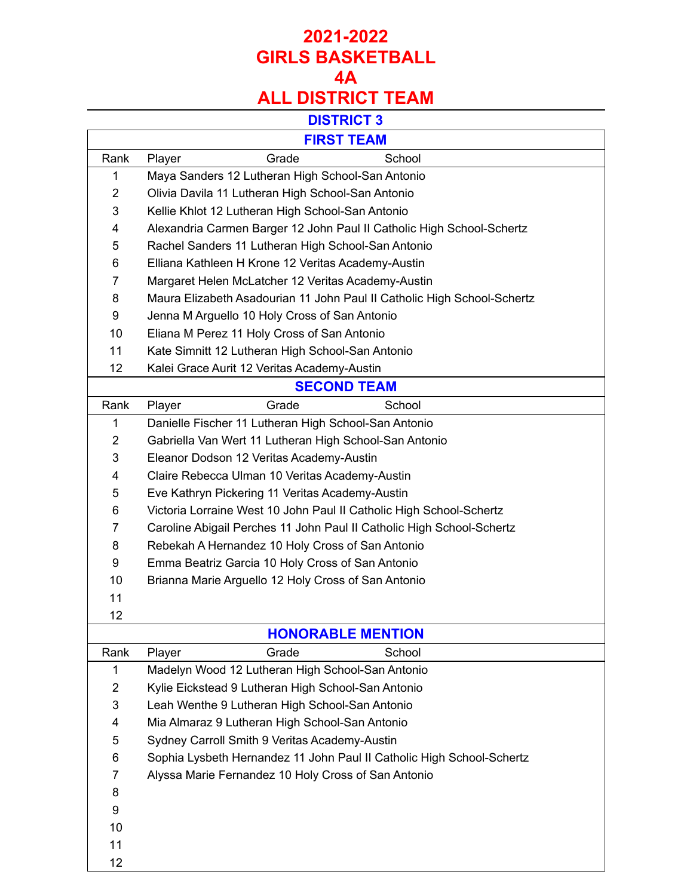# **2021-2022 GIRLS BASKETBALL 4A**

# **ALL DISTRICT TEAM**

#### **DISTRICT 3**

| $-$<br>ו כ   | <u>_</u> | М       |
|--------------|----------|---------|
| <b>III</b> W | C/       | m<br>æ. |

Г

|                | FINJI IEAM                                                              |  |  |
|----------------|-------------------------------------------------------------------------|--|--|
| Rank           | Grade<br>School<br>Player                                               |  |  |
| 1              | Maya Sanders 12 Lutheran High School-San Antonio                        |  |  |
| $\overline{2}$ | Olivia Davila 11 Lutheran High School-San Antonio                       |  |  |
| 3              | Kellie Khlot 12 Lutheran High School-San Antonio                        |  |  |
| 4              | Alexandria Carmen Barger 12 John Paul II Catholic High School-Schertz   |  |  |
| 5              | Rachel Sanders 11 Lutheran High School-San Antonio                      |  |  |
| 6              | Elliana Kathleen H Krone 12 Veritas Academy-Austin                      |  |  |
| 7              | Margaret Helen McLatcher 12 Veritas Academy-Austin                      |  |  |
| 8              | Maura Elizabeth Asadourian 11 John Paul II Catholic High School-Schertz |  |  |
| 9              | Jenna M Arguello 10 Holy Cross of San Antonio                           |  |  |
| 10             | Eliana M Perez 11 Holy Cross of San Antonio                             |  |  |
| 11             | Kate Simnitt 12 Lutheran High School-San Antonio                        |  |  |
| 12             | Kalei Grace Aurit 12 Veritas Academy-Austin                             |  |  |
|                | <b>SECOND TEAM</b>                                                      |  |  |
| Rank           | Player<br>Grade<br>School                                               |  |  |
| 1              | Danielle Fischer 11 Lutheran High School-San Antonio                    |  |  |
| 2              | Gabriella Van Wert 11 Lutheran High School-San Antonio                  |  |  |
| 3              | Eleanor Dodson 12 Veritas Academy-Austin                                |  |  |
| 4              | Claire Rebecca Ulman 10 Veritas Academy-Austin                          |  |  |
| 5              | Eve Kathryn Pickering 11 Veritas Academy-Austin                         |  |  |
| 6              | Victoria Lorraine West 10 John Paul II Catholic High School-Schertz     |  |  |
| 7              | Caroline Abigail Perches 11 John Paul II Catholic High School-Schertz   |  |  |
| 8              | Rebekah A Hernandez 10 Holy Cross of San Antonio                        |  |  |
| 9              | Emma Beatriz Garcia 10 Holy Cross of San Antonio                        |  |  |
| 10             | Brianna Marie Arguello 12 Holy Cross of San Antonio                     |  |  |
| 11             |                                                                         |  |  |
| 12             |                                                                         |  |  |
|                | <b>HONORABLE MENTION</b>                                                |  |  |
| Rank           | Player<br>Grade<br>School                                               |  |  |
| 1              | Madelyn Wood 12 Lutheran High School-San Antonio                        |  |  |
| 2              | Kylie Eickstead 9 Lutheran High School-San Antonio                      |  |  |
| 3              | Leah Wenthe 9 Lutheran High School-San Antonio                          |  |  |
| 4              | Mia Almaraz 9 Lutheran High School-San Antonio                          |  |  |
| 5              | Sydney Carroll Smith 9 Veritas Academy-Austin                           |  |  |
| 6              | Sophia Lysbeth Hernandez 11 John Paul II Catholic High School-Schertz   |  |  |
| 7              | Alyssa Marie Fernandez 10 Holy Cross of San Antonio                     |  |  |
| 8              |                                                                         |  |  |
| 9              |                                                                         |  |  |
| 10             |                                                                         |  |  |
| 11             |                                                                         |  |  |
| 12             |                                                                         |  |  |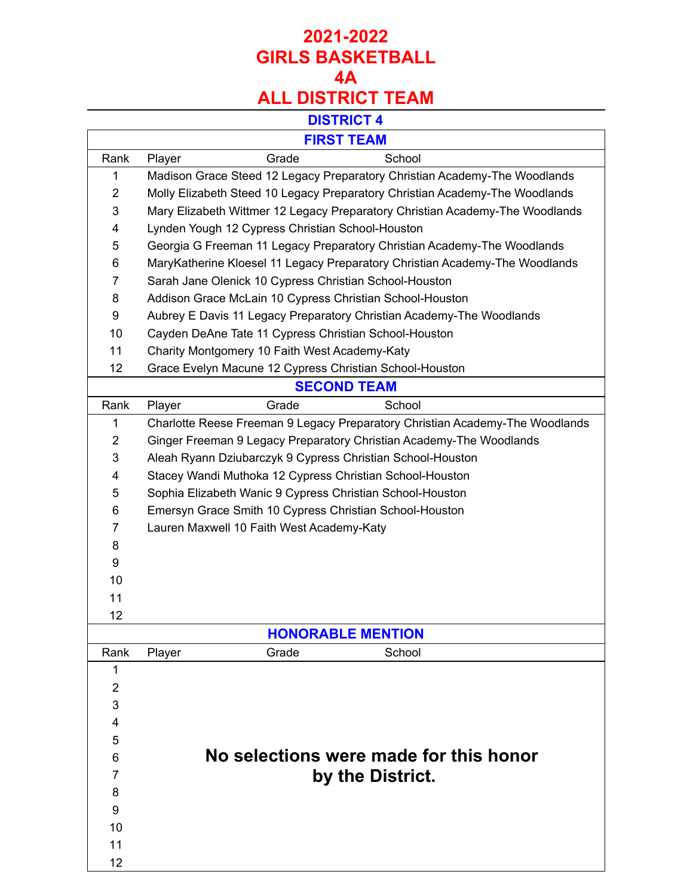# **2021-2022 GIRLS BASKETBALL 4A ALL DISTRICT TEAM**

#### **DISTRICT 4**

T.

### **FIRST TEAM**

Г

 $\mathbf{I}$ 

| FIRSI IEAM     |                                                                              |  |  |
|----------------|------------------------------------------------------------------------------|--|--|
| Rank           | Grade<br>School<br>Player                                                    |  |  |
| 1              | Madison Grace Steed 12 Legacy Preparatory Christian Academy-The Woodlands    |  |  |
| $\overline{2}$ | Molly Elizabeth Steed 10 Legacy Preparatory Christian Academy-The Woodlands  |  |  |
| 3              | Mary Elizabeth Wittmer 12 Legacy Preparatory Christian Academy-The Woodlands |  |  |
| 4              | Lynden Yough 12 Cypress Christian School-Houston                             |  |  |
| 5              | Georgia G Freeman 11 Legacy Preparatory Christian Academy-The Woodlands      |  |  |
| 6              | MaryKatherine Kloesel 11 Legacy Preparatory Christian Academy-The Woodlands  |  |  |
| 7              | Sarah Jane Olenick 10 Cypress Christian School-Houston                       |  |  |
| 8              | Addison Grace McLain 10 Cypress Christian School-Houston                     |  |  |
| 9              | Aubrey E Davis 11 Legacy Preparatory Christian Academy-The Woodlands         |  |  |
| 10             | Cayden DeAne Tate 11 Cypress Christian School-Houston                        |  |  |
| 11             | Charity Montgomery 10 Faith West Academy-Katy                                |  |  |
| 12             | Grace Evelyn Macune 12 Cypress Christian School-Houston                      |  |  |
|                | <b>SECOND TEAM</b>                                                           |  |  |
| Rank           | Grade<br>School<br>Player                                                    |  |  |
| 1              | Charlotte Reese Freeman 9 Legacy Preparatory Christian Academy-The Woodlands |  |  |
| $\overline{2}$ | Ginger Freeman 9 Legacy Preparatory Christian Academy-The Woodlands          |  |  |
| 3              | Aleah Ryann Dziubarczyk 9 Cypress Christian School-Houston                   |  |  |
| 4              | Stacey Wandi Muthoka 12 Cypress Christian School-Houston                     |  |  |
| 5              | Sophia Elizabeth Wanic 9 Cypress Christian School-Houston                    |  |  |
| 6              | Emersyn Grace Smith 10 Cypress Christian School-Houston                      |  |  |
| $\overline{7}$ | Lauren Maxwell 10 Faith West Academy-Katy                                    |  |  |
| 8              |                                                                              |  |  |
| 9              |                                                                              |  |  |
| 10             |                                                                              |  |  |
| 11             |                                                                              |  |  |
| 12             |                                                                              |  |  |
|                | <b>HONORABLE MENTION</b>                                                     |  |  |
| Rank           | Grade<br>School<br>Player                                                    |  |  |
| 1              |                                                                              |  |  |
| $\overline{2}$ |                                                                              |  |  |
| 3              |                                                                              |  |  |
| 4              |                                                                              |  |  |
| 5              |                                                                              |  |  |
| 6              | No selections were made for this honor                                       |  |  |
| 7              | by the District.                                                             |  |  |
| 8              |                                                                              |  |  |
| 9              |                                                                              |  |  |
| 10             |                                                                              |  |  |
| 11             |                                                                              |  |  |
| 12             |                                                                              |  |  |